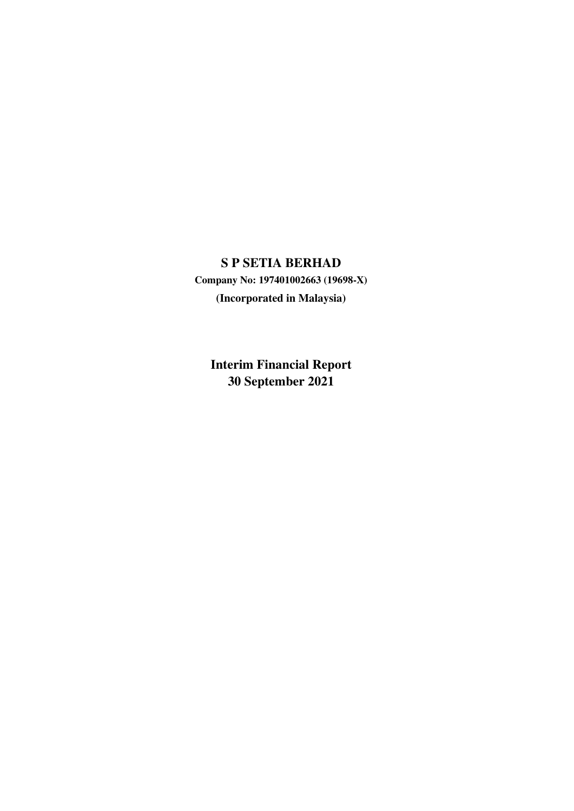**Company No: 197401002663 (19698-X) (Incorporated in Malaysia)**

**Interim Financial Report 30 September 2021**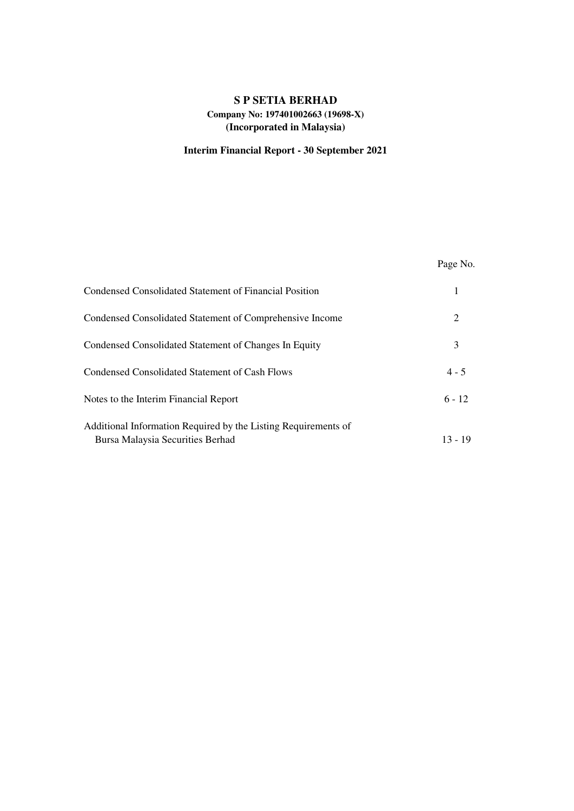# **S P SETIA BERHAD Company No: 197401002663 (19698-X) (Incorporated in Malaysia)**

# **Interim Financial Report - 30 September 2021**

|                                                                                                    | Page No.  |
|----------------------------------------------------------------------------------------------------|-----------|
| Condensed Consolidated Statement of Financial Position                                             |           |
| Condensed Consolidated Statement of Comprehensive Income                                           | 2         |
| Condensed Consolidated Statement of Changes In Equity                                              | 3         |
| <b>Condensed Consolidated Statement of Cash Flows</b>                                              | $4 - 5$   |
| Notes to the Interim Financial Report                                                              | $6 - 12$  |
| Additional Information Required by the Listing Requirements of<br>Bursa Malaysia Securities Berhad | $13 - 19$ |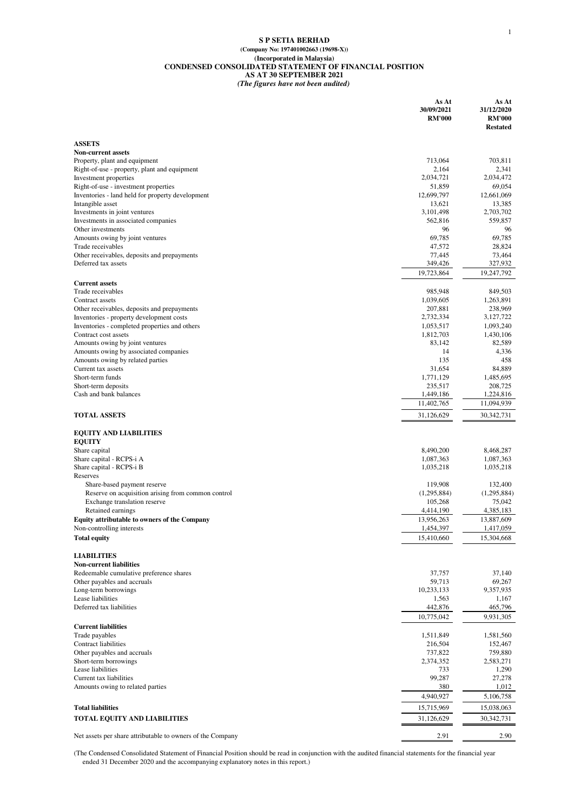#### **S P SETIA BERHAD (Company No: 197401002663 (19698-X)) (Incorporated in Malaysia) CONDENSED CONSOLIDATED STATEMENT OF FINANCIAL POSITION AS AT 30 SEPTEMBER 2021** *(The figures have not been audited)*

|                                                                                    | As At<br>30/09/2021<br><b>RM'000</b> | As At<br>31/12/2020<br><b>RM'000</b><br><b>Restated</b> |
|------------------------------------------------------------------------------------|--------------------------------------|---------------------------------------------------------|
| <b>ASSETS</b>                                                                      |                                      |                                                         |
| <b>Non-current assets</b>                                                          |                                      |                                                         |
| Property, plant and equipment                                                      | 713,064                              | 703,811                                                 |
| Right-of-use - property, plant and equipment                                       | 2,164<br>2,034,721                   | 2,341<br>2,034,472                                      |
| Investment properties<br>Right-of-use - investment properties                      | 51,859                               | 69,054                                                  |
| Inventories - land held for property development                                   | 12,699,797                           | 12,661,069                                              |
| Intangible asset                                                                   | 13,621                               | 13,385                                                  |
| Investments in joint ventures                                                      | 3,101,498                            | 2,703,702                                               |
| Investments in associated companies<br>Other investments                           | 562,816<br>96                        | 559,857<br>96                                           |
| Amounts owing by joint ventures                                                    | 69,785                               | 69,785                                                  |
| Trade receivables                                                                  | 47,572                               | 28,824                                                  |
| Other receivables, deposits and prepayments                                        | 77,445                               | 73,464                                                  |
| Deferred tax assets                                                                | 349,426                              | 327,932                                                 |
| <b>Current assets</b>                                                              | 19,723,864                           | 19,247,792                                              |
| Trade receivables                                                                  | 985,948                              | 849,503                                                 |
| Contract assets                                                                    | 1,039,605                            | 1,263,891                                               |
| Other receivables, deposits and prepayments                                        | 207,881                              | 238,969                                                 |
| Inventories - property development costs                                           | 2,732,334<br>1,053,517               | 3,127,722<br>1,093,240                                  |
| Inventories - completed properties and others<br>Contract cost assets              | 1,812,703                            | 1,430,106                                               |
| Amounts owing by joint ventures                                                    | 83.142                               | 82,589                                                  |
| Amounts owing by associated companies                                              | 14                                   | 4,336                                                   |
| Amounts owing by related parties                                                   | 135                                  | 458                                                     |
| Current tax assets<br>Short-term funds                                             | 31,654<br>1,771,129                  | 84,889<br>1,485,695                                     |
| Short-term deposits                                                                | 235,517                              | 208,725                                                 |
| Cash and bank balances                                                             | 1,449,186                            | 1,224,816                                               |
|                                                                                    | 11,402,765                           | 11,094,939                                              |
| <b>TOTAL ASSETS</b>                                                                | 31,126,629                           | 30,342,731                                              |
| <b>EQUITY AND LIABILITIES</b>                                                      |                                      |                                                         |
| <b>EQUITY</b><br>Share capital                                                     | 8,490,200                            | 8,468,287                                               |
| Share capital - RCPS-i A                                                           | 1,087,363                            | 1,087,363                                               |
| Share capital - RCPS-i B                                                           | 1,035,218                            | 1,035,218                                               |
| Reserves                                                                           |                                      |                                                         |
| Share-based payment reserve                                                        | 119,908                              | 132,400                                                 |
| Reserve on acquisition arising from common control<br>Exchange translation reserve | (1,295,884)<br>105,268               | (1,295,884)<br>75,042                                   |
| Retained earnings                                                                  | 4,414,190                            | 4,385,183                                               |
| <b>Equity attributable to owners of the Company</b>                                | 13,956,263                           | 13,887,609                                              |
| Non-controlling interests                                                          | 1,454,397                            | 1,417,059                                               |
| <b>Total equity</b>                                                                | 15,410,660                           | 15,304,668                                              |
| <b>LIABILITIES</b>                                                                 |                                      |                                                         |
| <b>Non-current liabilities</b>                                                     |                                      |                                                         |
| Redeemable cumulative preference shares                                            | 37,757                               | 37,140                                                  |
| Other payables and accruals<br>Long-term borrowings                                | 59,713<br>10,233,133                 | 69,267<br>9,357,935                                     |
| Lease liabilities                                                                  | 1,563                                | 1,167                                                   |
| Deferred tax liabilities                                                           | 442,876                              | 465,796                                                 |
|                                                                                    | 10,775,042                           | 9,931,305                                               |
| <b>Current liabilities</b><br>Trade payables                                       | 1,511,849                            | 1,581,560                                               |
| <b>Contract liabilities</b>                                                        | 216,504                              | 152,467                                                 |
| Other payables and accruals                                                        | 737,822                              | 759,880                                                 |
| Short-term borrowings                                                              | 2,374,352                            | 2,583,271                                               |
| Lease liabilities                                                                  | 733                                  | 1,290                                                   |
| Current tax liabilities<br>Amounts owing to related parties                        | 99,287<br>380                        | 27,278<br>1,012                                         |
|                                                                                    | 4,940,927                            | 5,106,758                                               |
| <b>Total liabilities</b>                                                           | 15,715,969                           | 15,038,063                                              |
| <b>TOTAL EQUITY AND LIABILITIES</b>                                                | 31,126,629                           | 30,342,731                                              |
|                                                                                    |                                      |                                                         |
| Net assets per share attributable to owners of the Company                         | 2.91                                 | 2.90                                                    |

(The Condensed Consolidated Statement of Financial Position should be read in conjunction with the audited financial statements for the financial year ended 31 December 2020 and the accompanying explanatory notes in this report.)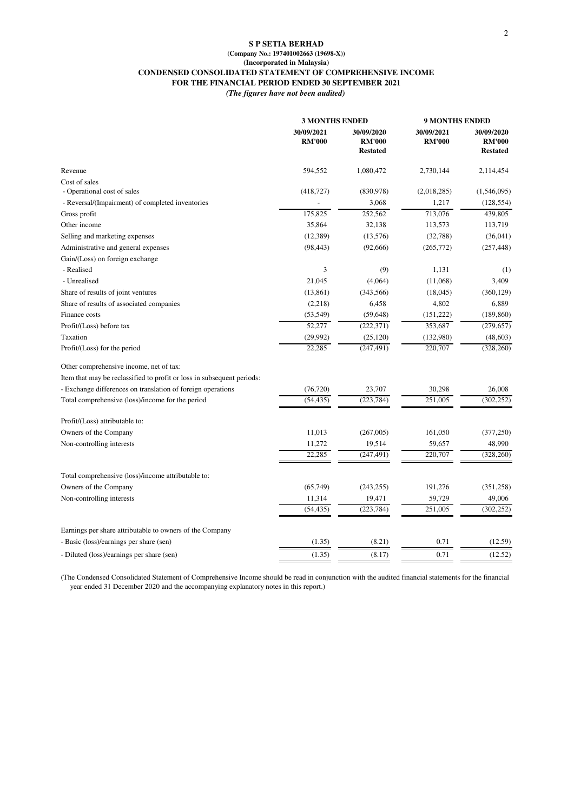#### **S P SETIA BERHAD (Company No.: 197401002663 (19698-X)) (Incorporated in Malaysia) CONDENSED CONSOLIDATED STATEMENT OF COMPREHENSIVE INCOME FOR THE FINANCIAL PERIOD ENDED 30 SEPTEMBER 2021**

*(The figures have not been audited)*

|                                                                        | <b>3 MONTHS ENDED</b>       |                                                | <b>9 MONTHS ENDED</b>       |                                                |
|------------------------------------------------------------------------|-----------------------------|------------------------------------------------|-----------------------------|------------------------------------------------|
|                                                                        | 30/09/2021<br><b>RM'000</b> | 30/09/2020<br><b>RM'000</b><br><b>Restated</b> | 30/09/2021<br><b>RM'000</b> | 30/09/2020<br><b>RM'000</b><br><b>Restated</b> |
| Revenue                                                                | 594,552                     | 1,080,472                                      | 2,730,144                   | 2,114,454                                      |
| Cost of sales                                                          |                             |                                                |                             |                                                |
| - Operational cost of sales                                            | (418, 727)                  | (830,978)                                      | (2,018,285)                 | (1,546,095)                                    |
| - Reversal/(Impairment) of completed inventories                       |                             | 3,068                                          | 1,217                       | (128, 554)                                     |
| Gross profit                                                           | 175,825                     | 252,562                                        | 713,076                     | 439,805                                        |
| Other income                                                           | 35,864                      | 32,138                                         | 113,573                     | 113,719                                        |
| Selling and marketing expenses                                         | (12, 389)                   | (13, 576)                                      | (32, 788)                   | (36,041)                                       |
| Administrative and general expenses                                    | (98, 443)                   | (92,666)                                       | (265, 772)                  | (257, 448)                                     |
| Gain/(Loss) on foreign exchange                                        |                             |                                                |                             |                                                |
| - Realised                                                             | 3                           | (9)                                            | 1,131                       | (1)                                            |
| - Unrealised                                                           | 21,045                      | (4,064)                                        | (11,068)                    | 3,409                                          |
| Share of results of joint ventures                                     | (13, 861)                   | (343, 566)                                     | (18,045)                    | (360, 129)                                     |
| Share of results of associated companies                               | (2,218)                     | 6,458                                          | 4,802                       | 6,889                                          |
| Finance costs                                                          | (53, 549)                   | (59, 648)                                      | (151, 222)                  | (189, 860)                                     |
| Profit/(Loss) before tax                                               | 52,277                      | (222, 371)                                     | 353,687                     | (279, 657)                                     |
| Taxation                                                               | (29, 992)                   | (25, 120)                                      | (132,980)                   | (48, 603)                                      |
| Profit/(Loss) for the period                                           | 22,285                      | (247, 491)                                     | 220,707                     | (328, 260)                                     |
| Other comprehensive income, net of tax:                                |                             |                                                |                             |                                                |
| Item that may be reclassified to profit or loss in subsequent periods: |                             |                                                |                             |                                                |
| - Exchange differences on translation of foreign operations            | (76, 720)                   | 23,707                                         | 30,298                      | 26,008                                         |
| Total comprehensive (loss)/income for the period                       | (54, 435)                   | (223, 784)                                     | 251,005                     | (302, 252)                                     |
| Profit/(Loss) attributable to:                                         |                             |                                                |                             |                                                |
| Owners of the Company                                                  | 11,013                      | (267,005)                                      | 161,050                     | (377, 250)                                     |
| Non-controlling interests                                              | 11,272                      | 19,514                                         | 59,657                      | 48,990                                         |
|                                                                        | 22,285                      | (247, 491)                                     | 220,707                     | (328, 260)                                     |
| Total comprehensive (loss)/income attributable to:                     |                             |                                                |                             |                                                |
| Owners of the Company                                                  | (65, 749)                   | (243, 255)                                     | 191,276                     | (351, 258)                                     |
| Non-controlling interests                                              | 11,314                      | 19,471                                         | 59,729                      | 49,006                                         |
|                                                                        | (54, 435)                   | (223, 784)                                     | 251,005                     | (302, 252)                                     |
| Earnings per share attributable to owners of the Company               |                             |                                                |                             |                                                |
| - Basic (loss)/earnings per share (sen)                                | (1.35)                      | (8.21)                                         | 0.71                        | (12.59)                                        |
| - Diluted (loss)/earnings per share (sen)                              | (1.35)                      | (8.17)                                         | 0.71                        | (12.52)                                        |
|                                                                        |                             |                                                |                             |                                                |

(The Condensed Consolidated Statement of Comprehensive Income should be read in conjunction with the audited financial statements for the financial year ended 31 December 2020 and the accompanying explanatory notes in this report.)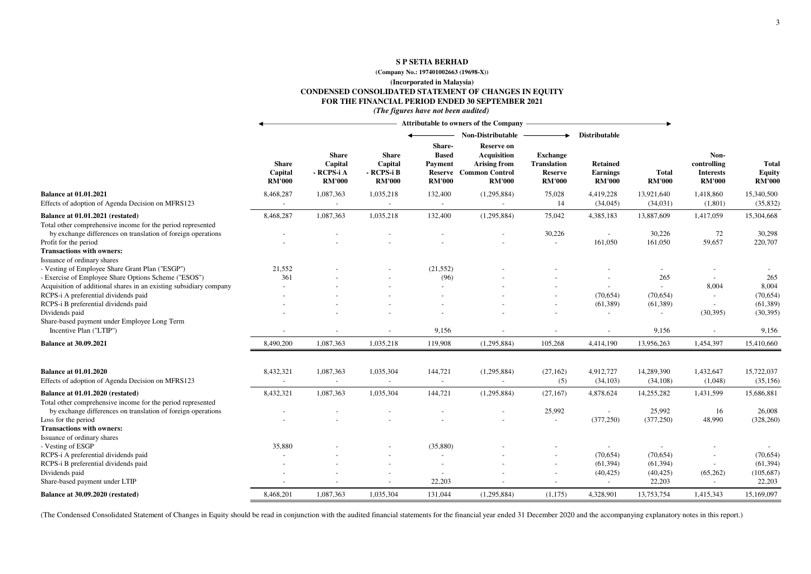### **(Company No.: 197401002663 (19698-X))**

**(Incorporated in Malaysia)**

**CONDENSED CONSOLIDATED STATEMENT OF CHANGES IN EQUITY**

### **FOR THE FINANCIAL PERIOD ENDED 30 SEPTEMBER 2021**

#### *(The figures have not been audited)*

|                                                                                                 | Attributable to owners of the Company -  |                                                        |                                                        |                                          |                                                                                             |                                                                          |                                              |                               |                                                          |                                                |
|-------------------------------------------------------------------------------------------------|------------------------------------------|--------------------------------------------------------|--------------------------------------------------------|------------------------------------------|---------------------------------------------------------------------------------------------|--------------------------------------------------------------------------|----------------------------------------------|-------------------------------|----------------------------------------------------------|------------------------------------------------|
|                                                                                                 |                                          |                                                        |                                                        | Share-                                   | <b>Non-Distributable</b><br>Reserve on                                                      | ▸                                                                        | Distributable                                |                               |                                                          |                                                |
|                                                                                                 | <b>Share</b><br>Capital<br><b>RM'000</b> | <b>Share</b><br>Capital<br>- RCPS-i A<br><b>RM'000</b> | <b>Share</b><br>Capital<br>- RCPS-i B<br><b>RM'000</b> | <b>Based</b><br>Payment<br><b>RM'000</b> | <b>Acquisition</b><br><b>Arising from</b><br><b>Reserve</b> Common Control<br><b>RM'000</b> | <b>Exchange</b><br><b>Translation</b><br><b>Reserve</b><br><b>RM'000</b> | <b>Retained</b><br>Earnings<br><b>RM'000</b> | <b>Total</b><br><b>RM'000</b> | Non-<br>controlling<br><b>Interests</b><br><b>RM'000</b> | <b>Total</b><br><b>Equity</b><br><b>RM'000</b> |
| <b>Balance at 01.01.2021</b>                                                                    | 8,468,287                                | 1,087,363                                              | 1,035,218                                              | 132,400                                  | (1,295,884)                                                                                 | 75,028                                                                   | 4,419,228                                    | 13,921,640                    | 1,418,860                                                | 15,340,500                                     |
| Effects of adoption of Agenda Decision on MFRS123                                               | $\sim$                                   | $\blacksquare$                                         | $\sim$                                                 | $\sim$                                   | $\sim$                                                                                      | 14                                                                       | (34,045)                                     | (34,031)                      | (1,801)                                                  | (35, 832)                                      |
| Balance at 01.01.2021 (restated)                                                                | 8,468,287                                | 1,087,363                                              | 1,035,218                                              | 132,400                                  | (1,295,884)                                                                                 | 75,042                                                                   | 4,385,183                                    | 13,887,609                    | 1,417,059                                                | 15,304,668                                     |
| Total other comprehensive income for the period represented                                     |                                          |                                                        |                                                        |                                          |                                                                                             |                                                                          |                                              |                               |                                                          |                                                |
| by exchange differences on translation of foreign operations                                    |                                          |                                                        |                                                        |                                          |                                                                                             | 30,226                                                                   | $\sim$                                       | 30,226                        | 72                                                       | 30,298                                         |
| Profit for the period                                                                           |                                          |                                                        |                                                        |                                          |                                                                                             | $\overline{a}$                                                           | 161,050                                      | 161,050                       | 59,657                                                   | 220,707                                        |
| <b>Transactions with owners:</b>                                                                |                                          |                                                        |                                                        |                                          |                                                                                             |                                                                          |                                              |                               |                                                          |                                                |
| Issuance of ordinary shares<br>- Vesting of Employee Share Grant Plan ("ESGP")                  | 21,552                                   |                                                        |                                                        | (21, 552)                                |                                                                                             |                                                                          |                                              |                               |                                                          |                                                |
| - Exercise of Employee Share Options Scheme ("ESOS")                                            | 361                                      |                                                        |                                                        | (96)                                     |                                                                                             |                                                                          |                                              | 265                           |                                                          | 265                                            |
| Acquisition of additional shares in an existing subsidiary company                              |                                          |                                                        |                                                        |                                          |                                                                                             |                                                                          |                                              |                               | 8,004                                                    | 8,004                                          |
| RCPS-i A preferential dividends paid                                                            |                                          |                                                        |                                                        |                                          |                                                                                             |                                                                          | (70, 654)                                    | (70, 654)                     |                                                          | (70, 654)                                      |
| RCPS-i B preferential dividends paid                                                            |                                          |                                                        |                                                        |                                          |                                                                                             |                                                                          | (61, 389)                                    | (61, 389)                     |                                                          | (61, 389)                                      |
| Dividends paid                                                                                  |                                          |                                                        |                                                        |                                          |                                                                                             |                                                                          |                                              |                               | (30, 395)                                                | (30, 395)                                      |
| Share-based payment under Employee Long Term                                                    |                                          |                                                        |                                                        |                                          |                                                                                             |                                                                          |                                              |                               |                                                          |                                                |
| Incentive Plan ("LTIP")                                                                         |                                          |                                                        |                                                        | 9,156                                    |                                                                                             |                                                                          |                                              | 9,156                         |                                                          | 9,156                                          |
| <b>Balance at 30.09.2021</b>                                                                    | 8,490,200                                | 1,087,363                                              | 1,035,218                                              | 119,908                                  | (1,295,884)                                                                                 | 105,268                                                                  | 4,414,190                                    | 13,956,263                    | 1,454,397                                                | 15,410,660                                     |
| <b>Balance at 01.01.2020</b>                                                                    | 8,432,321                                | 1,087,363                                              | 1,035,304                                              | 144,721                                  | (1,295,884)                                                                                 | (27, 162)                                                                | 4,912,727                                    | 14,289,390                    | 1,432,647                                                | 15,722,037                                     |
| Effects of adoption of Agenda Decision on MFRS123                                               |                                          |                                                        | $\sim$                                                 | $\sim$                                   | $\sim$                                                                                      | (5)                                                                      | (34, 103)                                    | (34, 108)                     | (1,048)                                                  | (35, 156)                                      |
| Balance at 01.01.2020 (restated)<br>Total other comprehensive income for the period represented | 8,432,321                                | 1,087,363                                              | 1,035,304                                              | 144,721                                  | (1,295,884)                                                                                 | (27, 167)                                                                | 4,878,624                                    | 14,255,282                    | 1,431,599                                                | 15,686,881                                     |
| by exchange differences on translation of foreign operations                                    |                                          |                                                        |                                                        |                                          |                                                                                             | 25,992                                                                   | $\sim$                                       | 25,992                        | 16                                                       | 26,008                                         |
| Loss for the period                                                                             |                                          |                                                        |                                                        |                                          |                                                                                             | $\sim$                                                                   | (377, 250)                                   | (377, 250)                    | 48,990                                                   | (328, 260)                                     |
| <b>Transactions with owners:</b>                                                                |                                          |                                                        |                                                        |                                          |                                                                                             |                                                                          |                                              |                               |                                                          |                                                |
| Issuance of ordinary shares                                                                     |                                          |                                                        |                                                        |                                          |                                                                                             |                                                                          |                                              |                               |                                                          |                                                |
| - Vesting of ESGP<br>RCPS-i A preferential dividends paid                                       | 35,880                                   |                                                        |                                                        | (35,880)                                 |                                                                                             |                                                                          | (70,654)                                     | (70,654)                      | $\overline{\phantom{a}}$                                 | (70,654)                                       |
| RCPS-i B preferential dividends paid                                                            |                                          |                                                        |                                                        |                                          |                                                                                             |                                                                          | (61, 394)                                    | (61, 394)                     |                                                          | (61, 394)                                      |
| Dividends paid                                                                                  |                                          |                                                        |                                                        |                                          |                                                                                             |                                                                          | (40, 425)                                    | (40, 425)                     | (65,262)                                                 | (105, 687)                                     |
| Share-based payment under LTIP                                                                  |                                          |                                                        |                                                        | 22,203                                   |                                                                                             |                                                                          | $\sim$                                       | 22,203                        |                                                          | 22,203                                         |
| Balance at 30.09.2020 (restated)                                                                | 8,468,201                                | 1,087,363                                              | 1,035,304                                              | 131,044                                  | (1,295,884)                                                                                 | (1,175)                                                                  | 4,328,901                                    | 13,753,754                    | 1,415,343                                                | 15,169,097                                     |
|                                                                                                 |                                          |                                                        |                                                        |                                          |                                                                                             |                                                                          |                                              |                               |                                                          |                                                |

(The Condensed Consolidated Statement of Changes in Equity should be read in conjunction with the audited financial statements for the financial year ended 31 December 2020 and the accompanying explanatory notes in this re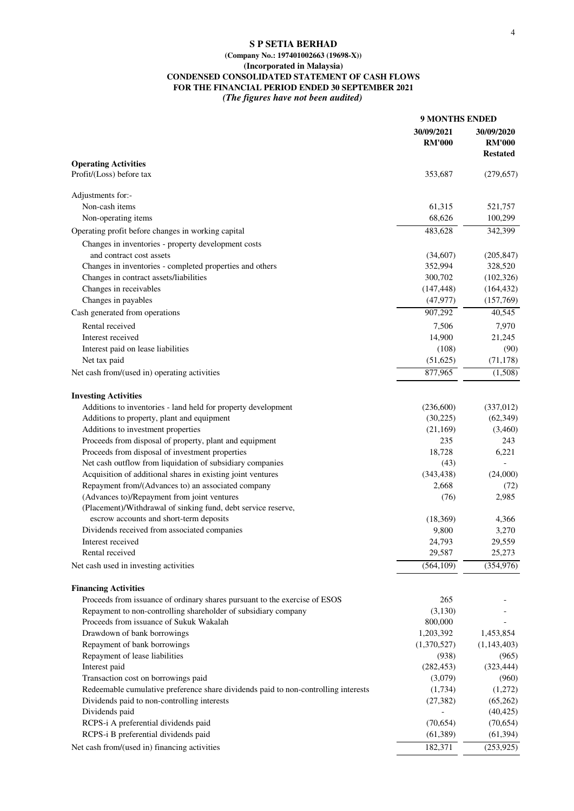# **(Company No.: 197401002663 (19698-X))**

# **(Incorporated in Malaysia)**

**CONDENSED CONSOLIDATED STATEMENT OF CASH FLOWS**

**FOR THE FINANCIAL PERIOD ENDED 30 SEPTEMBER 2021** *(The figures have not been audited)*

|                                                                                                              | <b>9 MONTHS ENDED</b>       |                                                |
|--------------------------------------------------------------------------------------------------------------|-----------------------------|------------------------------------------------|
|                                                                                                              | 30/09/2021<br><b>RM'000</b> | 30/09/2020<br><b>RM'000</b><br><b>Restated</b> |
| <b>Operating Activities</b>                                                                                  |                             |                                                |
| Profit/(Loss) before tax                                                                                     | 353,687                     | (279, 657)                                     |
| Adjustments for:-                                                                                            |                             |                                                |
| Non-cash items                                                                                               | 61,315                      | 521,757                                        |
| Non-operating items                                                                                          | 68,626                      | 100,299                                        |
| Operating profit before changes in working capital                                                           | 483,628                     | 342,399                                        |
| Changes in inventories - property development costs<br>and contract cost assets                              | (34,607)                    | (205, 847)                                     |
| Changes in inventories - completed properties and others                                                     | 352,994                     | 328,520                                        |
| Changes in contract assets/liabilities                                                                       | 300,702                     | (102, 326)                                     |
| Changes in receivables                                                                                       | (147, 448)                  | (164, 432)                                     |
| Changes in payables                                                                                          | (47, 977)                   | (157,769)                                      |
| Cash generated from operations                                                                               | 907,292                     | 40,545                                         |
| Rental received                                                                                              | 7,506                       | 7,970                                          |
| Interest received                                                                                            | 14,900                      | 21,245                                         |
| Interest paid on lease liabilities                                                                           | (108)                       | (90)                                           |
| Net tax paid                                                                                                 | (51,625)                    | (71, 178)                                      |
| Net cash from/(used in) operating activities                                                                 | 877,965                     | (1,508)                                        |
|                                                                                                              |                             |                                                |
| <b>Investing Activities</b>                                                                                  |                             |                                                |
| Additions to inventories - land held for property development                                                | (236,600)                   | (337,012)                                      |
| Additions to property, plant and equipment                                                                   | (30,225)                    | (62, 349)                                      |
| Additions to investment properties                                                                           | (21, 169)                   | (3,460)                                        |
| Proceeds from disposal of property, plant and equipment                                                      | 235                         | 243                                            |
| Proceeds from disposal of investment properties                                                              | 18,728                      | 6,221                                          |
| Net cash outflow from liquidation of subsidiary companies                                                    | (43)                        |                                                |
| Acquisition of additional shares in existing joint ventures                                                  | (343, 438)                  | (24,000)                                       |
| Repayment from/(Advances to) an associated company                                                           | 2,668                       | (72)                                           |
| (Advances to)/Repayment from joint ventures<br>(Placement)/Withdrawal of sinking fund, debt service reserve, | (76)                        | 2,985                                          |
| escrow accounts and short-term deposits                                                                      |                             | 4,366                                          |
| Dividends received from associated companies                                                                 | (18,369)<br>9,800           | 3,270                                          |
| Interest received                                                                                            | 24,793                      | 29,559                                         |
| Rental received                                                                                              | 29,587                      | 25,273                                         |
| Net cash used in investing activities                                                                        | (564, 109)                  | (354, 976)                                     |
|                                                                                                              |                             |                                                |
| <b>Financing Activities</b>                                                                                  |                             |                                                |
| Proceeds from issuance of ordinary shares pursuant to the exercise of ESOS                                   | 265                         |                                                |
| Repayment to non-controlling shareholder of subsidiary company<br>Proceeds from issuance of Sukuk Wakalah    | (3,130)<br>800,000          |                                                |
| Drawdown of bank borrowings                                                                                  | 1,203,392                   | 1,453,854                                      |
| Repayment of bank borrowings                                                                                 | (1,370,527)                 | (1,143,403)                                    |
| Repayment of lease liabilities                                                                               | (938)                       | (965)                                          |
| Interest paid                                                                                                | (282, 453)                  | (323, 444)                                     |
| Transaction cost on borrowings paid                                                                          | (3,079)                     | (960)                                          |
| Redeemable cumulative preference share dividends paid to non-controlling interests                           | (1,734)                     | (1,272)                                        |
| Dividends paid to non-controlling interests                                                                  | (27, 382)                   | (65,262)                                       |
| Dividends paid                                                                                               |                             | (40, 425)                                      |
| RCPS-i A preferential dividends paid                                                                         | (70, 654)                   | (70, 654)                                      |
| RCPS-i B preferential dividends paid                                                                         | (61,389)                    | (61, 394)                                      |
| Net cash from/(used in) financing activities                                                                 | 182,371                     | (253, 925)                                     |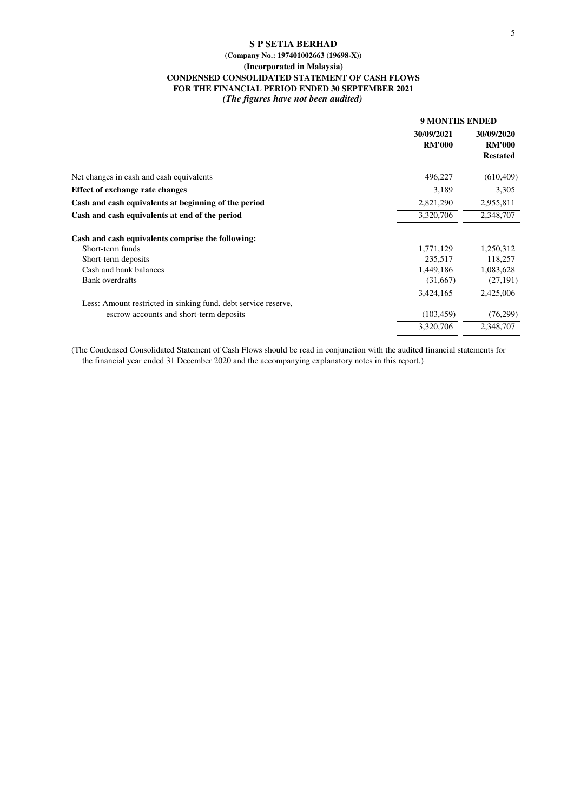# **(Company No.: 197401002663 (19698-X)) (Incorporated in Malaysia) CONDENSED CONSOLIDATED STATEMENT OF CASH FLOWS FOR THE FINANCIAL PERIOD ENDED 30 SEPTEMBER 2021**

*(The figures have not been audited)*

|                                                                | <b>9 MONTHS ENDED</b>       |                                                |  |
|----------------------------------------------------------------|-----------------------------|------------------------------------------------|--|
|                                                                | 30/09/2021<br><b>RM'000</b> | 30/09/2020<br><b>RM'000</b><br><b>Restated</b> |  |
| Net changes in cash and cash equivalents                       | 496,227                     | (610, 409)                                     |  |
| <b>Effect of exchange rate changes</b>                         | 3,189                       | 3,305                                          |  |
| Cash and cash equivalents at beginning of the period           | 2,821,290                   | 2,955,811                                      |  |
| Cash and cash equivalents at end of the period                 | 3,320,706                   | 2,348,707                                      |  |
| Cash and cash equivalents comprise the following:              |                             |                                                |  |
| Short-term funds                                               | 1,771,129                   | 1,250,312                                      |  |
| Short-term deposits                                            | 235,517                     | 118,257                                        |  |
| Cash and bank balances                                         | 1,449,186                   | 1,083,628                                      |  |
| <b>Bank</b> overdrafts                                         | (31,667)                    | (27, 191)                                      |  |
|                                                                | 3,424,165                   | 2,425,006                                      |  |
| Less: Amount restricted in sinking fund, debt service reserve, |                             |                                                |  |
| escrow accounts and short-term deposits                        | (103, 459)                  | (76, 299)                                      |  |
|                                                                | 3,320,706                   | 2,348,707                                      |  |

(The Condensed Consolidated Statement of Cash Flows should be read in conjunction with the audited financial statements for the financial year ended 31 December 2020 and the accompanying explanatory notes in this report.)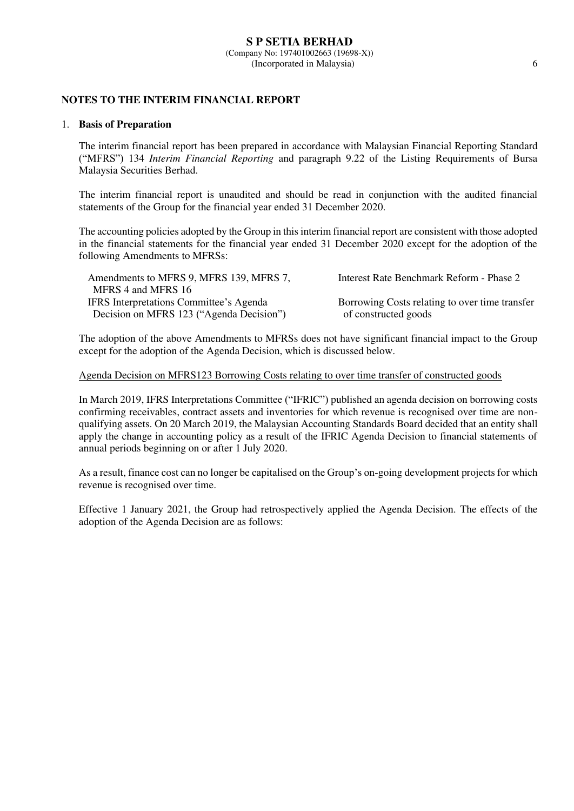### **S P SETIA BERHAD** (Company No: 197401002663 (19698-X)) (Incorporated in Malaysia) 6

# **NOTES TO THE INTERIM FINANCIAL REPORT**

### 1. **Basis of Preparation**

 The interim financial report has been prepared in accordance with Malaysian Financial Reporting Standard ("MFRS") 134 *Interim Financial Reporting* and paragraph 9.22 of the Listing Requirements of Bursa Malaysia Securities Berhad.

 The interim financial report is unaudited and should be read in conjunction with the audited financial statements of the Group for the financial year ended 31 December 2020.

The accounting policies adopted by the Group in this interim financial report are consistent with those adopted in the financial statements for the financial year ended 31 December 2020 except for the adoption of the following Amendments to MFRSs:

| Amendments to MFRS 9, MFRS 139, MFRS 7,<br>MFRS 4 and MFRS 16 | Interest Rate Benchmark Reform - Phase 2       |
|---------------------------------------------------------------|------------------------------------------------|
| <b>IFRS</b> Interpretations Committee's Agenda                | Borrowing Costs relating to over time transfer |
| Decision on MFRS 123 ("Agenda Decision")                      | of constructed goods                           |

The adoption of the above Amendments to MFRSs does not have significant financial impact to the Group except for the adoption of the Agenda Decision, which is discussed below.

# Agenda Decision on MFRS123 Borrowing Costs relating to over time transfer of constructed goods

In March 2019, IFRS Interpretations Committee ("IFRIC") published an agenda decision on borrowing costs confirming receivables, contract assets and inventories for which revenue is recognised over time are nonqualifying assets. On 20 March 2019, the Malaysian Accounting Standards Board decided that an entity shall apply the change in accounting policy as a result of the IFRIC Agenda Decision to financial statements of annual periods beginning on or after 1 July 2020.

As a result, finance cost can no longer be capitalised on the Group's on-going development projects for which revenue is recognised over time.

Effective 1 January 2021, the Group had retrospectively applied the Agenda Decision. The effects of the adoption of the Agenda Decision are as follows: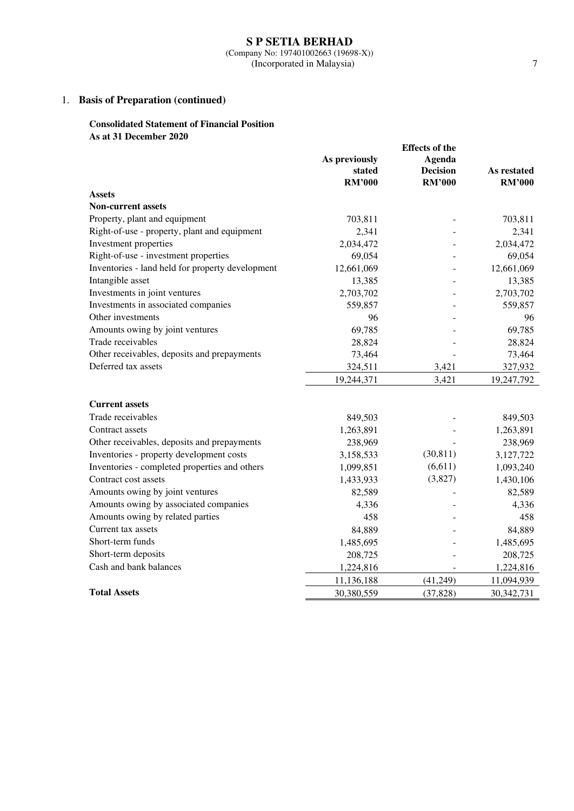# 1. **Basis of Preparation (continued)**

# **Consolidated Statement of Financial Position As at 31 December 2020**

|                                                  | <b>Effects of the</b> |                 |               |
|--------------------------------------------------|-----------------------|-----------------|---------------|
|                                                  | As previously         | Agenda          |               |
|                                                  | stated                | <b>Decision</b> | As restated   |
|                                                  | <b>RM'000</b>         | <b>RM'000</b>   | <b>RM'000</b> |
| <b>Assets</b>                                    |                       |                 |               |
| <b>Non-current assets</b>                        |                       |                 |               |
| Property, plant and equipment                    | 703,811               |                 | 703,811       |
| Right-of-use - property, plant and equipment     | 2,341                 |                 | 2,341         |
| Investment properties                            | 2,034,472             |                 | 2,034,472     |
| Right-of-use - investment properties             | 69,054                |                 | 69,054        |
| Inventories - land held for property development | 12,661,069            |                 | 12,661,069    |
| Intangible asset                                 | 13,385                |                 | 13,385        |
| Investments in joint ventures                    | 2,703,702             |                 | 2,703,702     |
| Investments in associated companies              | 559,857               |                 | 559,857       |
| Other investments                                | 96                    |                 | 96            |
| Amounts owing by joint ventures                  | 69,785                |                 | 69,785        |
| Trade receivables                                | 28,824                |                 | 28,824        |
| Other receivables, deposits and prepayments      | 73,464                |                 | 73,464        |
| Deferred tax assets                              | 324,511               | 3,421           | 327,932       |
|                                                  | 19,244,371            | 3,421           | 19,247,792    |
| <b>Current assets</b>                            |                       |                 |               |
| Trade receivables                                | 849,503               |                 | 849,503       |
| Contract assets                                  | 1,263,891             |                 | 1,263,891     |
| Other receivables, deposits and prepayments      | 238,969               |                 | 238,969       |
| Inventories - property development costs         | 3,158,533             | (30, 811)       | 3,127,722     |
| Inventories - completed properties and others    | 1,099,851             | (6,611)         | 1,093,240     |
| Contract cost assets                             | 1,433,933             | (3,827)         | 1,430,106     |
| Amounts owing by joint ventures                  | 82,589                |                 | 82,589        |
| Amounts owing by associated companies            | 4,336                 |                 | 4,336         |
| Amounts owing by related parties                 | 458                   |                 | 458           |
| Current tax assets                               | 84,889                |                 | 84,889        |
| Short-term funds                                 | 1,485,695             |                 | 1,485,695     |
| Short-term deposits                              | 208,725               |                 | 208,725       |
| Cash and bank balances                           | 1,224,816             |                 | 1,224,816     |
|                                                  | 11,136,188            | (41,249)        | 11,094,939    |
| <b>Total Assets</b>                              | 30,380,559            | (37, 828)       | 30, 342, 731  |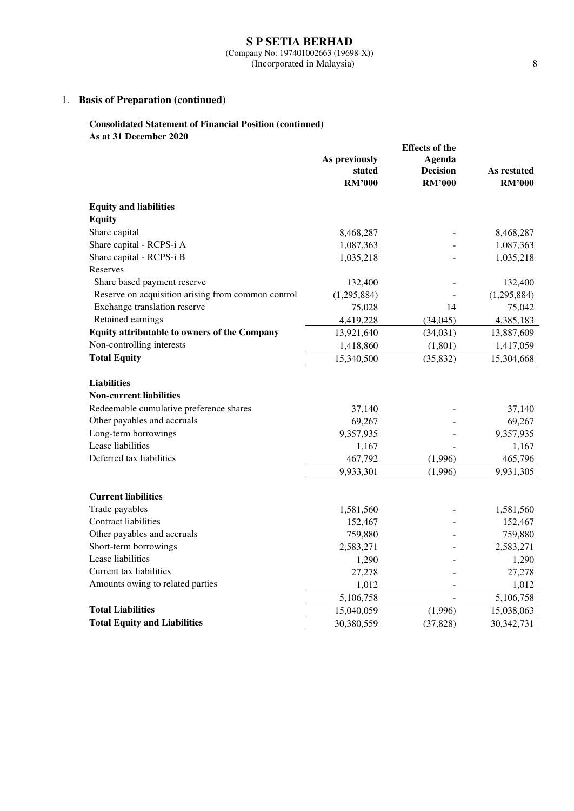(Company No: 197401002663 (19698-X)) (Incorporated in Malaysia) 8

# 1. **Basis of Preparation (continued)**

# **Consolidated Statement of Financial Position (continued) As at 31 December 2020**

|                                                     | <b>Effects of the</b> |                 |               |
|-----------------------------------------------------|-----------------------|-----------------|---------------|
|                                                     | As previously         | Agenda          |               |
|                                                     | stated                | <b>Decision</b> | As restated   |
|                                                     | <b>RM'000</b>         | <b>RM'000</b>   | <b>RM'000</b> |
| <b>Equity and liabilities</b>                       |                       |                 |               |
| <b>Equity</b>                                       |                       |                 |               |
| Share capital                                       | 8,468,287             |                 | 8,468,287     |
| Share capital - RCPS-i A                            | 1,087,363             |                 | 1,087,363     |
| Share capital - RCPS-i B                            | 1,035,218             |                 | 1,035,218     |
| Reserves                                            |                       |                 |               |
| Share based payment reserve                         | 132,400               |                 | 132,400       |
| Reserve on acquisition arising from common control  | (1,295,884)           |                 | (1,295,884)   |
| Exchange translation reserve                        | 75,028                | 14              | 75,042        |
| Retained earnings                                   | 4,419,228             | (34,045)        | 4,385,183     |
| <b>Equity attributable to owners of the Company</b> | 13,921,640            | (34,031)        | 13,887,609    |
| Non-controlling interests                           | 1,418,860             | (1,801)         | 1,417,059     |
| <b>Total Equity</b>                                 | 15,340,500            | (35, 832)       | 15,304,668    |
|                                                     |                       |                 |               |
| <b>Liabilities</b>                                  |                       |                 |               |
| <b>Non-current liabilities</b>                      |                       |                 |               |
| Redeemable cumulative preference shares             | 37,140                |                 | 37,140        |
| Other payables and accruals                         | 69,267                |                 | 69,267        |
| Long-term borrowings                                | 9,357,935             |                 | 9,357,935     |
| Lease liabilities                                   | 1,167                 |                 | 1,167         |
| Deferred tax liabilities                            | 467,792               | (1,996)         | 465,796       |
|                                                     | 9,933,301             | (1,996)         | 9,931,305     |
|                                                     |                       |                 |               |
| <b>Current liabilities</b>                          |                       |                 |               |
| Trade payables                                      | 1,581,560             |                 | 1,581,560     |
| <b>Contract liabilities</b>                         | 152,467               |                 | 152,467       |
| Other payables and accruals                         | 759,880               |                 | 759,880       |
| Short-term borrowings                               | 2,583,271             |                 | 2,583,271     |
| Lease liabilities                                   | 1,290                 |                 | 1,290         |
| Current tax liabilities                             | 27,278                |                 | 27,278        |
| Amounts owing to related parties                    | 1,012                 |                 | 1,012         |
|                                                     | 5,106,758             |                 | 5,106,758     |
| <b>Total Liabilities</b>                            | 15,040,059            | (1,996)         | 15,038,063    |
| <b>Total Equity and Liabilities</b>                 | 30,380,559            | (37, 828)       | 30, 342, 731  |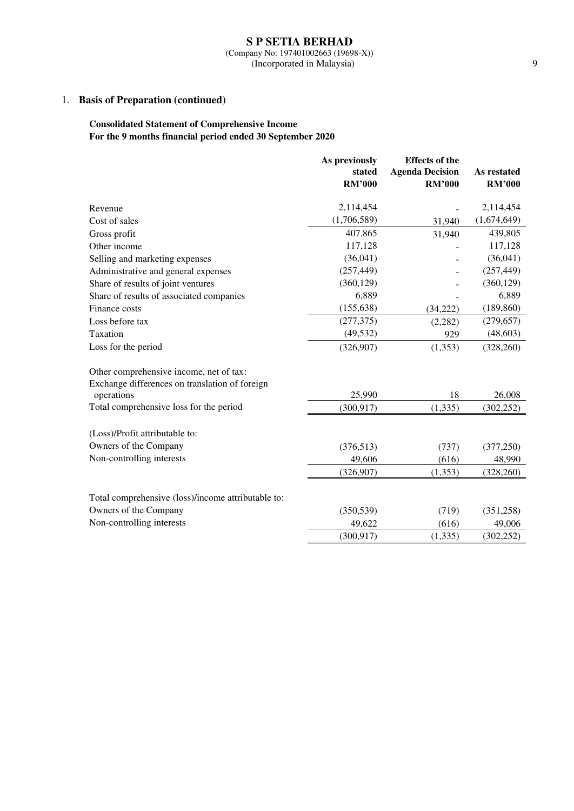(Company No: 197401002663 (19698-X)) (Incorporated in Malaysia) 9

# 1. **Basis of Preparation (continued)**

# **Consolidated Statement of Comprehensive Income For the 9 months financial period ended 30 September 2020**

|                                                    | As previously<br>stated | <b>Effects of the</b><br><b>Agenda Decision</b> | As restated   |
|----------------------------------------------------|-------------------------|-------------------------------------------------|---------------|
|                                                    | <b>RM'000</b>           | <b>RM'000</b>                                   | <b>RM'000</b> |
|                                                    |                         |                                                 |               |
| Revenue                                            | 2,114,454               |                                                 | 2,114,454     |
| Cost of sales                                      | (1,706,589)             | 31,940                                          | (1,674,649)   |
| Gross profit                                       | 407,865                 | 31,940                                          | 439,805       |
| Other income                                       | 117,128                 |                                                 | 117,128       |
| Selling and marketing expenses                     | (36,041)                |                                                 | (36,041)      |
| Administrative and general expenses                | (257, 449)              |                                                 | (257, 449)    |
| Share of results of joint ventures                 | (360, 129)              |                                                 | (360, 129)    |
| Share of results of associated companies           | 6,889                   |                                                 | 6,889         |
| Finance costs                                      | (155, 638)              | (34,222)                                        | (189, 860)    |
| Loss before tax                                    | (277, 375)              | (2, 282)                                        | (279, 657)    |
| Taxation                                           | (49, 532)               | 929                                             | (48, 603)     |
| Loss for the period                                | (326,907)               | (1,353)                                         | (328, 260)    |
| Other comprehensive income, net of tax:            |                         |                                                 |               |
| Exchange differences on translation of foreign     |                         |                                                 |               |
| operations                                         | 25,990                  | 18                                              | 26,008        |
| Total comprehensive loss for the period            | (300, 917)              | (1, 335)                                        | (302, 252)    |
| (Loss)/Profit attributable to:                     |                         |                                                 |               |
| Owners of the Company                              | (376, 513)              | (737)                                           | (377, 250)    |
| Non-controlling interests                          | 49,606                  | (616)                                           | 48,990        |
|                                                    | (326,907)               | (1,353)                                         | (328, 260)    |
| Total comprehensive (loss)/income attributable to: |                         |                                                 |               |
| Owners of the Company                              | (350, 539)              | (719)                                           | (351, 258)    |
| Non-controlling interests                          | 49,622                  | (616)                                           | 49,006        |
|                                                    | (300, 917)              | (1, 335)                                        | (302, 252)    |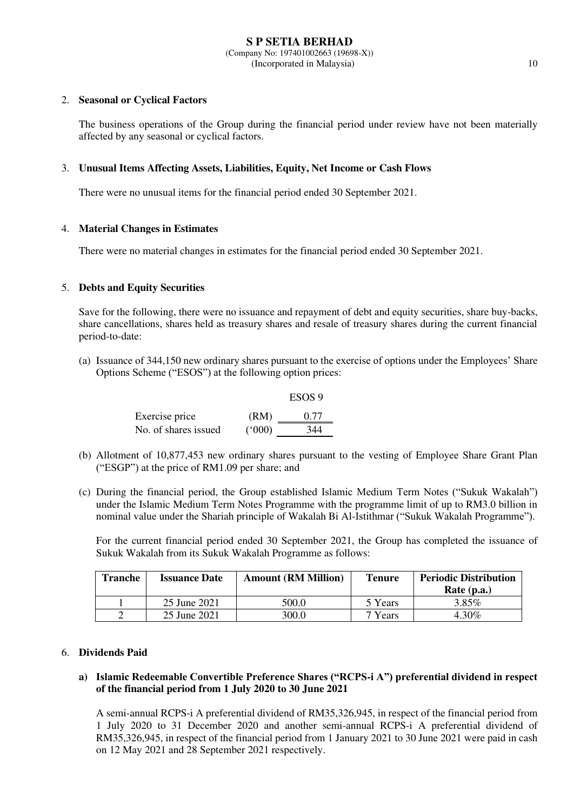# 2. **Seasonal or Cyclical Factors**

The business operations of the Group during the financial period under review have not been materially affected by any seasonal or cyclical factors.

# 3. **Unusual Items Affecting Assets, Liabilities, Equity, Net Income or Cash Flows**

There were no unusual items for the financial period ended 30 September 2021.

# 4. **Material Changes in Estimates**

There were no material changes in estimates for the financial period ended 30 September 2021.

# 5. **Debts and Equity Securities**

Save for the following, there were no issuance and repayment of debt and equity securities, share buy-backs, share cancellations, shares held as treasury shares and resale of treasury shares during the current financial period-to-date:

(a) Issuance of 344,150 new ordinary shares pursuant to the exercise of options under the Employees' Share Options Scheme ("ESOS") at the following option prices:

|                      |       | ESOS 9 |
|----------------------|-------|--------|
| Exercise price       | (RM)  | 0.77   |
| No. of shares issued | (000) | 344    |

- (b) Allotment of 10,877,453 new ordinary shares pursuant to the vesting of Employee Share Grant Plan ("ESGP") at the price of RM1.09 per share; and
- (c) During the financial period, the Group established Islamic Medium Term Notes ("Sukuk Wakalah") under the Islamic Medium Term Notes Programme with the programme limit of up to RM3.0 billion in nominal value under the Shariah principle of Wakalah Bi Al-Istithmar ("Sukuk Wakalah Programme").

For the current financial period ended 30 September 2021, the Group has completed the issuance of Sukuk Wakalah from its Sukuk Wakalah Programme as follows:

| <b>Tranche</b> | <b>Issuance Date</b> | <b>Amount (RM Million)</b> | <b>Tenure</b> | <b>Periodic Distribution</b><br>Rate $(p.a.)$ |
|----------------|----------------------|----------------------------|---------------|-----------------------------------------------|
|                | 25 June 2021         | 500.0                      | 5 Years       | $3.85\%$                                      |
|                | 25 June 2021         | 300.0                      | 7 Years       | 4.30%                                         |

# 6. **Dividends Paid**

# **a) Islamic Redeemable Convertible Preference Shares ("RCPS-i A") preferential dividend in respect of the financial period from 1 July 2020 to 30 June 2021**

A semi-annual RCPS-i A preferential dividend of RM35,326,945, in respect of the financial period from 1 July 2020 to 31 December 2020 and another semi-annual RCPS-i A preferential dividend of RM35,326,945, in respect of the financial period from 1 January 2021 to 30 June 2021 were paid in cash on 12 May 2021 and 28 September 2021 respectively.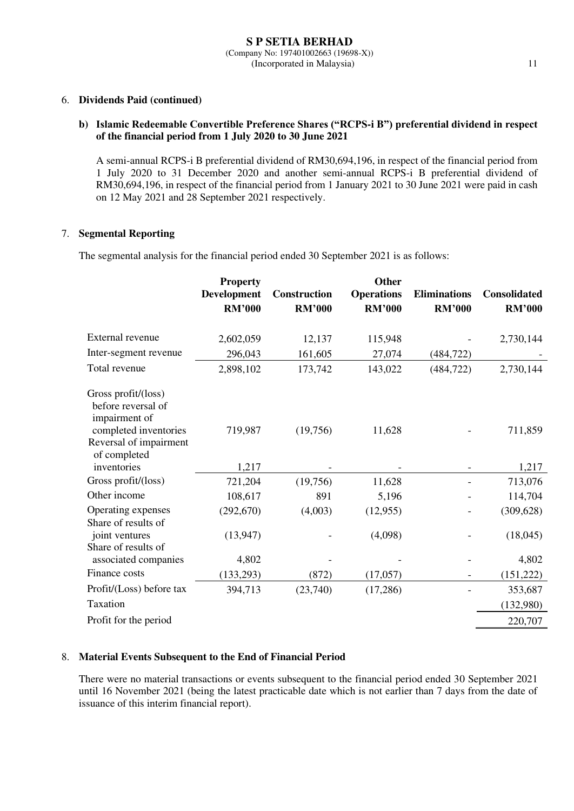# 6. **Dividends Paid (continued)**

# **b) Islamic Redeemable Convertible Preference Shares ("RCPS-i B") preferential dividend in respect of the financial period from 1 July 2020 to 30 June 2021**

A semi-annual RCPS-i B preferential dividend of RM30,694,196, in respect of the financial period from 1 July 2020 to 31 December 2020 and another semi-annual RCPS-i B preferential dividend of RM30,694,196, in respect of the financial period from 1 January 2021 to 30 June 2021 were paid in cash on 12 May 2021 and 28 September 2021 respectively.

# 7. **Segmental Reporting**

The segmental analysis for the financial period ended 30 September 2021 is as follows:

| <b>Property</b><br><b>Development</b><br><b>RM'000</b> | <b>Construction</b><br><b>RM'000</b> | Other<br><b>Operations</b><br><b>RM'000</b> | <b>Eliminations</b><br><b>RM'000</b> | <b>Consolidated</b><br><b>RM'000</b> |
|--------------------------------------------------------|--------------------------------------|---------------------------------------------|--------------------------------------|--------------------------------------|
| 2,602,059                                              | 12,137                               | 115,948                                     |                                      | 2,730,144                            |
| 296,043                                                | 161,605                              | 27,074                                      | (484, 722)                           |                                      |
| 2,898,102                                              | 173,742                              | 143,022                                     | (484, 722)                           | 2,730,144                            |
| 719,987                                                | (19,756)                             | 11,628                                      |                                      | 711,859                              |
| 1,217                                                  |                                      |                                             |                                      | 1,217                                |
| 721,204                                                | (19,756)                             | 11,628                                      |                                      | 713,076                              |
| 108,617                                                | 891                                  | 5,196                                       |                                      | 114,704                              |
| (292, 670)                                             | (4,003)                              | (12, 955)                                   |                                      | (309, 628)                           |
| (13, 947)                                              |                                      | (4,098)                                     |                                      | (18,045)                             |
| 4,802                                                  |                                      |                                             |                                      | 4,802                                |
| (133, 293)                                             | (872)                                | (17,057)                                    |                                      | (151, 222)                           |
| 394,713                                                | (23,740)                             | (17,286)                                    |                                      | 353,687                              |
|                                                        |                                      |                                             |                                      | (132,980)                            |
|                                                        |                                      |                                             |                                      | 220,707                              |
|                                                        |                                      |                                             |                                      |                                      |

# 8. **Material Events Subsequent to the End of Financial Period**

There were no material transactions or events subsequent to the financial period ended 30 September 2021 until 16 November 2021 (being the latest practicable date which is not earlier than 7 days from the date of issuance of this interim financial report).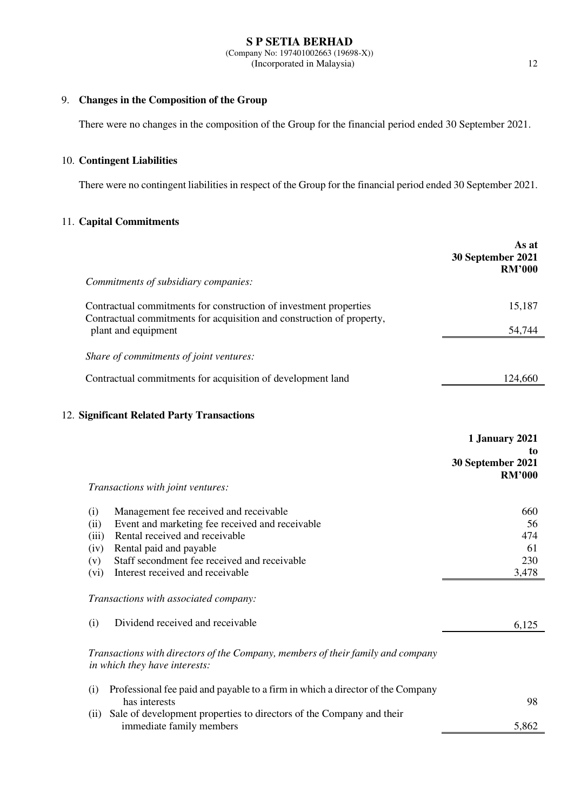### **S P SETIA BERHAD** (Company No: 197401002663 (19698-X)) (Incorporated in Malaysia) 12

# 9. **Changes in the Composition of the Group**

There were no changes in the composition of the Group for the financial period ended 30 September 2021.

# 10. **Contingent Liabilities**

There were no contingent liabilities in respect of the Group for the financial period ended 30 September 2021.

# 11. **Capital Commitments**

|             |                                                                                                                                            | As at<br>30 September 2021<br><b>RM'000</b> |
|-------------|--------------------------------------------------------------------------------------------------------------------------------------------|---------------------------------------------|
|             | Commitments of subsidiary companies:                                                                                                       |                                             |
|             | Contractual commitments for construction of investment properties<br>Contractual commitments for acquisition and construction of property, | 15,187                                      |
|             | plant and equipment                                                                                                                        | 54,744                                      |
|             | Share of commitments of joint ventures:                                                                                                    |                                             |
|             | Contractual commitments for acquisition of development land                                                                                | 124,660                                     |
|             | 12. Significant Related Party Transactions                                                                                                 |                                             |
|             |                                                                                                                                            | 1 January 2021                              |
|             |                                                                                                                                            | to<br>30 September 2021<br><b>RM'000</b>    |
|             | Transactions with joint ventures:                                                                                                          |                                             |
| (i)<br>(ii) | Management fee received and receivable<br>Event and marketing fee received and receivable                                                  | 660<br>56                                   |
| (iii)       | Rental received and receivable                                                                                                             | 474                                         |
| (iv)        | Rental paid and payable                                                                                                                    | 61                                          |
| (v)         | Staff secondment fee received and receivable                                                                                               | 230                                         |
| (vi)        | Interest received and receivable                                                                                                           | 3,478                                       |
|             | Transactions with associated company:                                                                                                      |                                             |
| (i)         | Dividend received and receivable                                                                                                           | 6,125                                       |
|             | Transactions with directors of the Company, members of their family and company<br>in which they have interests:                           |                                             |
| (i)         | Professional fee paid and payable to a firm in which a director of the Company<br>has interests                                            | 98                                          |
|             | (ii) Sale of development properties to directors of the Company and their                                                                  |                                             |
|             | immediate family members                                                                                                                   | 5,862                                       |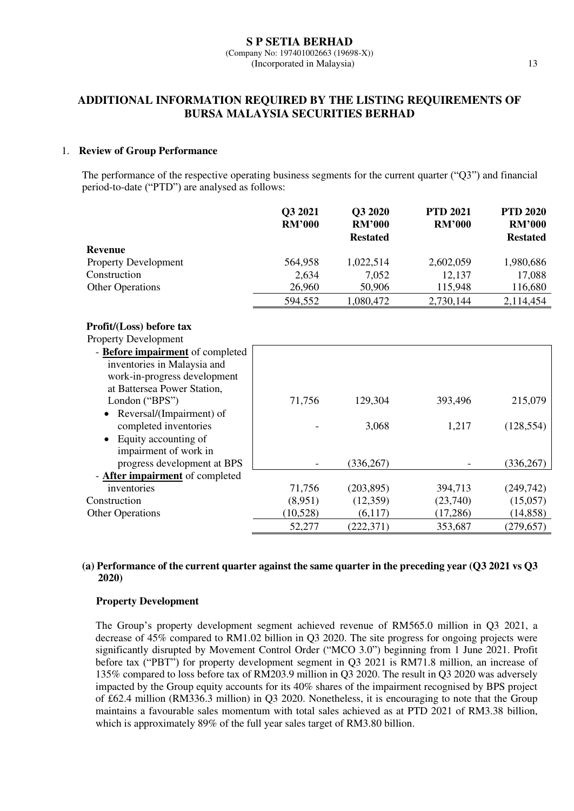# **ADDITIONAL INFORMATION REQUIRED BY THE LISTING REQUIREMENTS OF BURSA MALAYSIA SECURITIES BERHAD**

# 1. **Review of Group Performance**

The performance of the respective operating business segments for the current quarter ("Q3") and financial period-to-date ("PTD") are analysed as follows:

|                                        | Q3 2021<br><b>RM'000</b> | Q3 2020<br><b>RM'000</b><br><b>Restated</b> | <b>PTD 2021</b><br><b>RM'000</b> | <b>PTD 2020</b><br><b>RM'000</b><br><b>Restated</b> |
|----------------------------------------|--------------------------|---------------------------------------------|----------------------------------|-----------------------------------------------------|
| <b>Revenue</b>                         |                          |                                             |                                  |                                                     |
| <b>Property Development</b>            | 564,958                  | 1,022,514                                   | 2,602,059                        | 1,980,686                                           |
| Construction                           | 2,634                    | 7,052                                       | 12,137                           | 17,088                                              |
| <b>Other Operations</b>                | 26,960                   | 50,906                                      | 115,948                          | 116,680                                             |
|                                        | 594,552                  | 1,080,472                                   | 2,730,144                        | 2,114,454                                           |
| Profit/(Loss) before tax               |                          |                                             |                                  |                                                     |
| <b>Property Development</b>            |                          |                                             |                                  |                                                     |
| - Before impairment of completed       |                          |                                             |                                  |                                                     |
| inventories in Malaysia and            |                          |                                             |                                  |                                                     |
| work-in-progress development           |                          |                                             |                                  |                                                     |
| at Battersea Power Station,            |                          |                                             |                                  |                                                     |
| London ("BPS")                         | 71,756                   | 129,304                                     | 393,496                          | 215,079                                             |
| Reversal/(Impairment) of               |                          |                                             |                                  |                                                     |
| completed inventories                  |                          | 3,068                                       | 1,217                            | (128, 554)                                          |
| Equity accounting of<br>$\bullet$      |                          |                                             |                                  |                                                     |
| impairment of work in                  |                          |                                             |                                  |                                                     |
| progress development at BPS            |                          | (336, 267)                                  |                                  | (336, 267)                                          |
| - <b>After impairment</b> of completed |                          |                                             |                                  |                                                     |
| inventories                            | 71,756                   | (203, 895)                                  | 394,713                          | (249, 742)                                          |
| Construction                           | (8,951)                  | (12,359)                                    | (23,740)                         | (15,057)                                            |
| <b>Other Operations</b>                | (10,528)                 | (6,117)                                     | (17,286)                         | (14, 858)                                           |
|                                        | 52,277                   | (222, 371)                                  | 353,687                          | (279, 657)                                          |

# **(a) Performance of the current quarter against the same quarter in the preceding year (Q3 2021 vs Q3 2020)**

# **Property Development**

The Group's property development segment achieved revenue of RM565.0 million in Q3 2021, a decrease of 45% compared to RM1.02 billion in Q3 2020. The site progress for ongoing projects were significantly disrupted by Movement Control Order ("MCO 3.0") beginning from 1 June 2021. Profit before tax ("PBT") for property development segment in Q3 2021 is RM71.8 million, an increase of 135% compared to loss before tax of RM203.9 million in Q3 2020. The result in Q3 2020 was adversely impacted by the Group equity accounts for its 40% shares of the impairment recognised by BPS project of £62.4 million (RM336.3 million) in Q3 2020. Nonetheless, it is encouraging to note that the Group maintains a favourable sales momentum with total sales achieved as at PTD 2021 of RM3.38 billion, which is approximately 89% of the full year sales target of RM3.80 billion.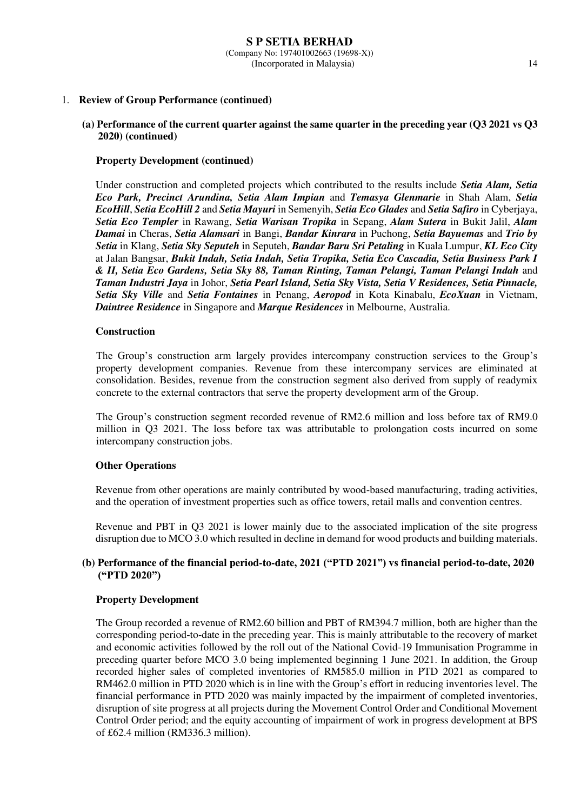# 1. **Review of Group Performance (continued)**

# **(a) Performance of the current quarter against the same quarter in the preceding year (Q3 2021 vs Q3 2020) (continued)**

### **Property Development (continued)**

Under construction and completed projects which contributed to the results include *Setia Alam, Setia Eco Park, Precinct Arundina, Setia Alam Impian* and *Temasya Glenmarie* in Shah Alam, *Setia EcoHill*, *Setia EcoHill 2* and *Setia Mayuri* in Semenyih, *Setia Eco Glades* and *Setia Safiro* in Cyberjaya, *Setia Eco Templer* in Rawang, *Setia Warisan Tropika* in Sepang, *Alam Sutera* in Bukit Jalil, *Alam Damai* in Cheras, *Setia Alamsari* in Bangi, *Bandar Kinrara* in Puchong, *Setia Bayuemas* and *Trio by Setia* in Klang, *Setia Sky Seputeh* in Seputeh, *Bandar Baru Sri Petaling* in Kuala Lumpur, *KL Eco City* at Jalan Bangsar, *Bukit Indah, Setia Indah, Setia Tropika, Setia Eco Cascadia, Setia Business Park I & II, Setia Eco Gardens, Setia Sky 88, Taman Rinting, Taman Pelangi, Taman Pelangi Indah* and *Taman Industri Jaya* in Johor, *Setia Pearl Island, Setia Sky Vista, Setia V Residences, Setia Pinnacle, Setia Sky Ville* and *Setia Fontaines* in Penang, *Aeropod* in Kota Kinabalu, *EcoXuan* in Vietnam, *Daintree Residence* in Singapore and *Marque Residences* in Melbourne, Australia.

### **Construction**

The Group's construction arm largely provides intercompany construction services to the Group's property development companies. Revenue from these intercompany services are eliminated at consolidation. Besides, revenue from the construction segment also derived from supply of readymix concrete to the external contractors that serve the property development arm of the Group.

The Group's construction segment recorded revenue of RM2.6 million and loss before tax of RM9.0 million in Q3 2021. The loss before tax was attributable to prolongation costs incurred on some intercompany construction jobs.

# **Other Operations**

Revenue from other operations are mainly contributed by wood-based manufacturing, trading activities, and the operation of investment properties such as office towers, retail malls and convention centres.

Revenue and PBT in Q3 2021 is lower mainly due to the associated implication of the site progress disruption due to MCO 3.0 which resulted in decline in demand for wood products and building materials.

# **(b) Performance of the financial period-to-date, 2021 ("PTD 2021") vs financial period-to-date, 2020 ("PTD 2020")**

### **Property Development**

The Group recorded a revenue of RM2.60 billion and PBT of RM394.7 million, both are higher than the corresponding period-to-date in the preceding year. This is mainly attributable to the recovery of market and economic activities followed by the roll out of the National Covid-19 Immunisation Programme in preceding quarter before MCO 3.0 being implemented beginning 1 June 2021. In addition, the Group recorded higher sales of completed inventories of RM585.0 million in PTD 2021 as compared to RM462.0 million in PTD 2020 which is in line with the Group's effort in reducing inventories level. The financial performance in PTD 2020 was mainly impacted by the impairment of completed inventories, disruption of site progress at all projects during the Movement Control Order and Conditional Movement Control Order period; and the equity accounting of impairment of work in progress development at BPS of £62.4 million (RM336.3 million).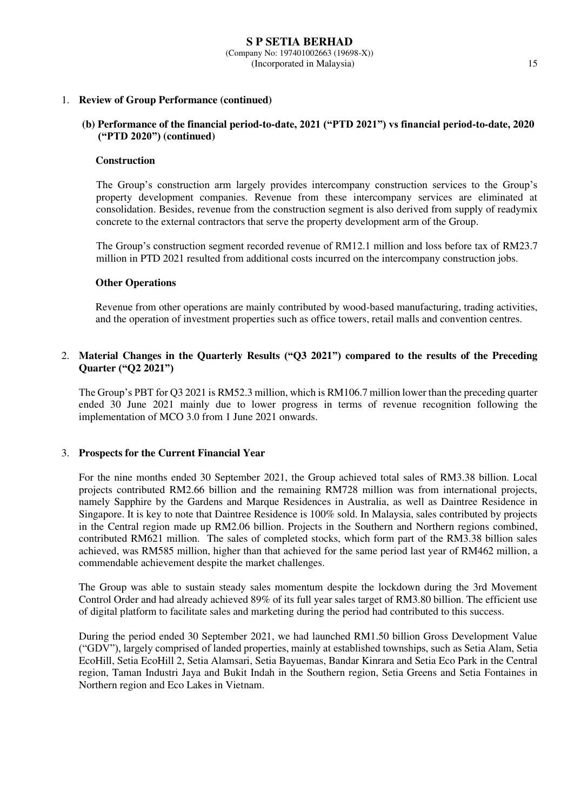# 1. **Review of Group Performance (continued)**

# **(b) Performance of the financial period-to-date, 2021 ("PTD 2021") vs financial period-to-date, 2020 ("PTD 2020") (continued)**

### **Construction**

The Group's construction arm largely provides intercompany construction services to the Group's property development companies. Revenue from these intercompany services are eliminated at consolidation. Besides, revenue from the construction segment is also derived from supply of readymix concrete to the external contractors that serve the property development arm of the Group.

The Group's construction segment recorded revenue of RM12.1 million and loss before tax of RM23.7 million in PTD 2021 resulted from additional costs incurred on the intercompany construction jobs.

# **Other Operations**

Revenue from other operations are mainly contributed by wood-based manufacturing, trading activities, and the operation of investment properties such as office towers, retail malls and convention centres.

# 2. **Material Changes in the Quarterly Results ("Q3 2021") compared to the results of the Preceding Quarter ("Q2 2021")**

The Group's PBT for Q3 2021 is RM52.3 million, which is RM106.7 million lower than the preceding quarter ended 30 June 2021 mainly due to lower progress in terms of revenue recognition following the implementation of MCO 3.0 from 1 June 2021 onwards.

# 3. **Prospects for the Current Financial Year**

For the nine months ended 30 September 2021, the Group achieved total sales of RM3.38 billion. Local projects contributed RM2.66 billion and the remaining RM728 million was from international projects, namely Sapphire by the Gardens and Marque Residences in Australia, as well as Daintree Residence in Singapore. It is key to note that Daintree Residence is 100% sold. In Malaysia, sales contributed by projects in the Central region made up RM2.06 billion. Projects in the Southern and Northern regions combined, contributed RM621 million. The sales of completed stocks, which form part of the RM3.38 billion sales achieved, was RM585 million, higher than that achieved for the same period last year of RM462 million, a commendable achievement despite the market challenges.

The Group was able to sustain steady sales momentum despite the lockdown during the 3rd Movement Control Order and had already achieved 89% of its full year sales target of RM3.80 billion. The efficient use of digital platform to facilitate sales and marketing during the period had contributed to this success.

During the period ended 30 September 2021, we had launched RM1.50 billion Gross Development Value ("GDV"), largely comprised of landed properties, mainly at established townships, such as Setia Alam, Setia EcoHill, Setia EcoHill 2, Setia Alamsari, Setia Bayuemas, Bandar Kinrara and Setia Eco Park in the Central region, Taman Industri Jaya and Bukit Indah in the Southern region, Setia Greens and Setia Fontaines in Northern region and Eco Lakes in Vietnam.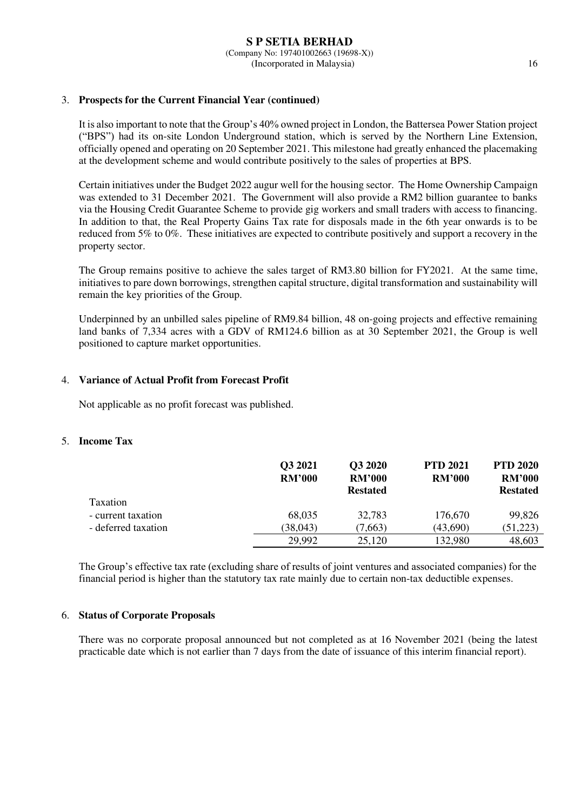# 3. **Prospects for the Current Financial Year (continued)**

It is also important to note that the Group's 40% owned project in London, the Battersea Power Station project ("BPS") had its on-site London Underground station, which is served by the Northern Line Extension, officially opened and operating on 20 September 2021. This milestone had greatly enhanced the placemaking at the development scheme and would contribute positively to the sales of properties at BPS.

Certain initiatives under the Budget 2022 augur well for the housing sector. The Home Ownership Campaign was extended to 31 December 2021. The Government will also provide a RM2 billion guarantee to banks via the Housing Credit Guarantee Scheme to provide gig workers and small traders with access to financing. In addition to that, the Real Property Gains Tax rate for disposals made in the 6th year onwards is to be reduced from 5% to 0%. These initiatives are expected to contribute positively and support a recovery in the property sector.

The Group remains positive to achieve the sales target of RM3.80 billion for FY2021. At the same time, initiatives to pare down borrowings, strengthen capital structure, digital transformation and sustainability will remain the key priorities of the Group.

Underpinned by an unbilled sales pipeline of RM9.84 billion, 48 on-going projects and effective remaining land banks of 7,334 acres with a GDV of RM124.6 billion as at 30 September 2021, the Group is well positioned to capture market opportunities.

# 4. **Variance of Actual Profit from Forecast Profit**

Not applicable as no profit forecast was published.

### 5. **Income Tax**

|                     | Q3 2021<br><b>RM'000</b> | Q3 2020<br><b>RM'000</b><br><b>Restated</b> | <b>PTD 2021</b><br><b>RM'000</b> | <b>PTD 2020</b><br><b>RM'000</b><br><b>Restated</b> |
|---------------------|--------------------------|---------------------------------------------|----------------------------------|-----------------------------------------------------|
| <b>Taxation</b>     |                          |                                             |                                  |                                                     |
| - current taxation  | 68,035                   | 32,783                                      | 176,670                          | 99,826                                              |
| - deferred taxation | (38, 043)                | (7,663)                                     | (43,690)                         | (51, 223)                                           |
|                     | 29.992                   | 25,120                                      | 132,980                          | 48,603                                              |

The Group's effective tax rate (excluding share of results of joint ventures and associated companies) for the financial period is higher than the statutory tax rate mainly due to certain non-tax deductible expenses.

### 6. **Status of Corporate Proposals**

There was no corporate proposal announced but not completed as at 16 November 2021 (being the latest practicable date which is not earlier than 7 days from the date of issuance of this interim financial report).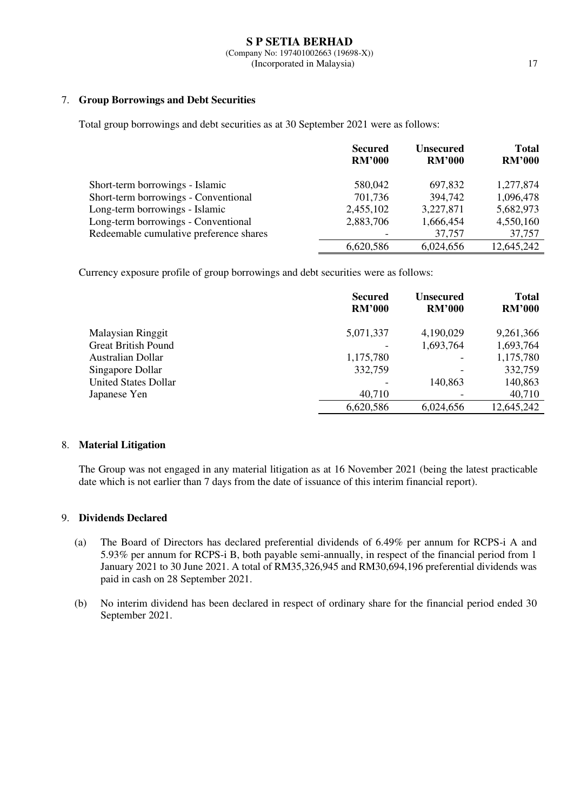# 7. **Group Borrowings and Debt Securities**

Total group borrowings and debt securities as at 30 September 2021 were as follows:

|                                         | <b>Secured</b><br><b>RM'000</b> | <b>Unsecured</b><br><b>RM'000</b> | <b>Total</b><br><b>RM'000</b> |
|-----------------------------------------|---------------------------------|-----------------------------------|-------------------------------|
|                                         |                                 |                                   |                               |
| Short-term borrowings - Islamic         | 580,042                         | 697,832                           | 1,277,874                     |
| Short-term borrowings - Conventional    | 701,736                         | 394,742                           | 1,096,478                     |
| Long-term borrowings - Islamic          | 2,455,102                       | 3,227,871                         | 5,682,973                     |
| Long-term borrowings - Conventional     | 2,883,706                       | 1,666,454                         | 4,550,160                     |
| Redeemable cumulative preference shares |                                 | 37,757                            | 37,757                        |
|                                         | 6,620,586                       | 6,024,656                         | 12,645,242                    |

Currency exposure profile of group borrowings and debt securities were as follows:

|                             | <b>Secured</b><br><b>RM'000</b> | <b>Unsecured</b><br><b>RM'000</b> | <b>Total</b><br><b>RM'000</b> |
|-----------------------------|---------------------------------|-----------------------------------|-------------------------------|
| <b>Malaysian Ringgit</b>    | 5,071,337                       | 4,190,029                         | 9,261,366                     |
| <b>Great British Pound</b>  |                                 | 1,693,764                         | 1,693,764                     |
| Australian Dollar           | 1,175,780                       |                                   | 1,175,780                     |
| Singapore Dollar            | 332,759                         | -                                 | 332,759                       |
| <b>United States Dollar</b> |                                 | 140,863                           | 140,863                       |
| Japanese Yen                | 40,710                          |                                   | 40,710                        |
|                             | 6,620,586                       | 6,024,656                         | 12,645,242                    |

# 8. **Material Litigation**

The Group was not engaged in any material litigation as at 16 November 2021 (being the latest practicable date which is not earlier than 7 days from the date of issuance of this interim financial report).

# 9. **Dividends Declared**

- (a) The Board of Directors has declared preferential dividends of 6.49% per annum for RCPS-i A and 5.93% per annum for RCPS-i B, both payable semi-annually, in respect of the financial period from 1 January 2021 to 30 June 2021. A total of RM35,326,945 and RM30,694,196 preferential dividends was paid in cash on 28 September 2021.
- (b) No interim dividend has been declared in respect of ordinary share for the financial period ended 30 September 2021.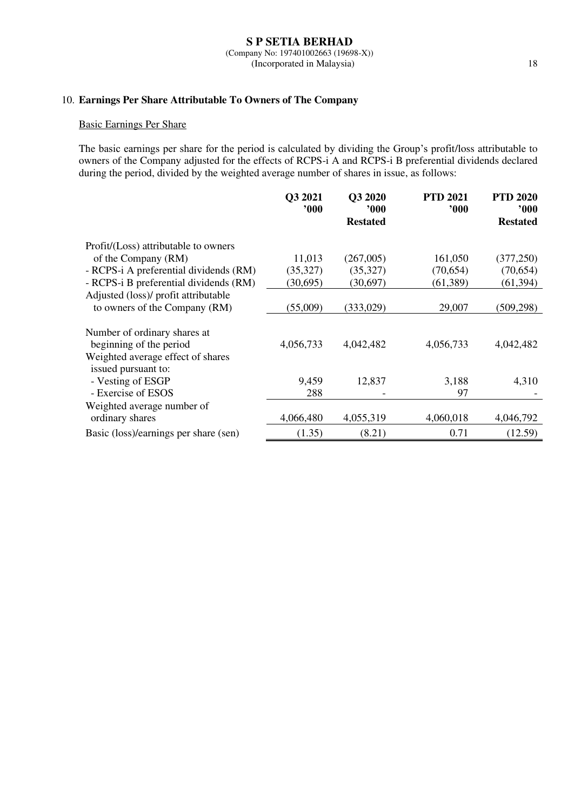### **S P SETIA BERHAD** (Company No: 197401002663 (19698-X)) (Incorporated in Malaysia) 18

# 10. **Earnings Per Share Attributable To Owners of The Company**

# Basic Earnings Per Share

The basic earnings per share for the period is calculated by dividing the Group's profit/loss attributable to owners of the Company adjusted for the effects of RCPS-i A and RCPS-i B preferential dividends declared during the period, divided by the weighted average number of shares in issue, as follows:

|                                                                                              | Q3 2021<br>000' | Q3 2020<br>900<br><b>Restated</b> | <b>PTD 2021</b><br>000 | <b>PTD 2020</b><br>900'<br><b>Restated</b> |
|----------------------------------------------------------------------------------------------|-----------------|-----------------------------------|------------------------|--------------------------------------------|
| Profit/(Loss) attributable to owners                                                         |                 |                                   |                        |                                            |
| of the Company (RM)                                                                          | 11,013          | (267,005)                         | 161,050                | (377, 250)                                 |
| - RCPS-i A preferential dividends (RM)                                                       | (35,327)        | (35,327)                          | (70, 654)              | (70,654)                                   |
| - RCPS-i B preferential dividends (RM)                                                       | (30,695)        | (30,697)                          | (61, 389)              | (61, 394)                                  |
| Adjusted (loss)/ profit attributable                                                         |                 |                                   |                        |                                            |
| to owners of the Company (RM)                                                                | (55,009)        | (333, 029)                        | 29,007                 | (509, 298)                                 |
| Number of ordinary shares at<br>beginning of the period<br>Weighted average effect of shares | 4,056,733       | 4,042,482                         | 4,056,733              | 4,042,482                                  |
| issued pursuant to:<br>- Vesting of ESGP                                                     | 9,459           | 12,837                            | 3,188                  | 4,310                                      |
| - Exercise of ESOS                                                                           | 288             |                                   | 97                     |                                            |
| Weighted average number of                                                                   |                 |                                   |                        |                                            |
| ordinary shares                                                                              | 4,066,480       | 4,055,319                         | 4,060,018              | 4,046,792                                  |
| Basic (loss)/earnings per share (sen)                                                        | (1.35)          | (8.21)                            | 0.71                   | (12.59)                                    |